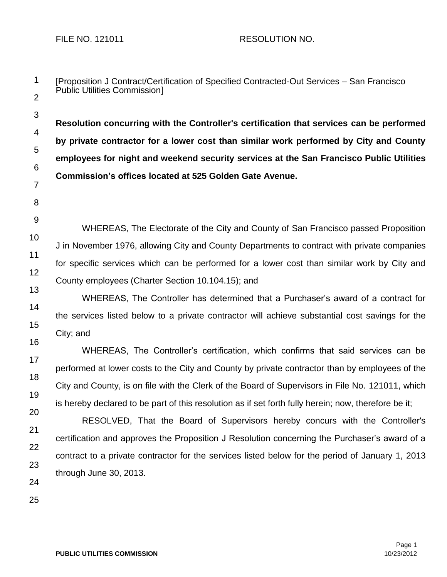3

4

5

6

[Proposition J Contract/Certification of Specified Contracted-Out Services – San Francisco Public Utilities Commission]

**Resolution concurring with the Controller's certification that services can be performed by private contractor for a lower cost than similar work performed by City and County employees for night and weekend security services at the San Francisco Public Utilities Commission's offices located at 525 Golden Gate Avenue.** 

7 8

9

10 11 12 WHEREAS, The Electorate of the City and County of San Francisco passed Proposition J in November 1976, allowing City and County Departments to contract with private companies for specific services which can be performed for a lower cost than similar work by City and County employees (Charter Section 10.104.15); and

13

14 15 16 WHEREAS, The Controller has determined that a Purchaser's award of a contract for the services listed below to a private contractor will achieve substantial cost savings for the City; and

17 18 19 WHEREAS, The Controller's certification, which confirms that said services can be performed at lower costs to the City and County by private contractor than by employees of the City and County, is on file with the Clerk of the Board of Supervisors in File No. 121011, which is hereby declared to be part of this resolution as if set forth fully herein; now, therefore be it;

20 21 22 23 RESOLVED, That the Board of Supervisors hereby concurs with the Controller's certification and approves the Proposition J Resolution concerning the Purchaser's award of a contract to a private contractor for the services listed below for the period of January 1, 2013 through June 30, 2013.

24 25